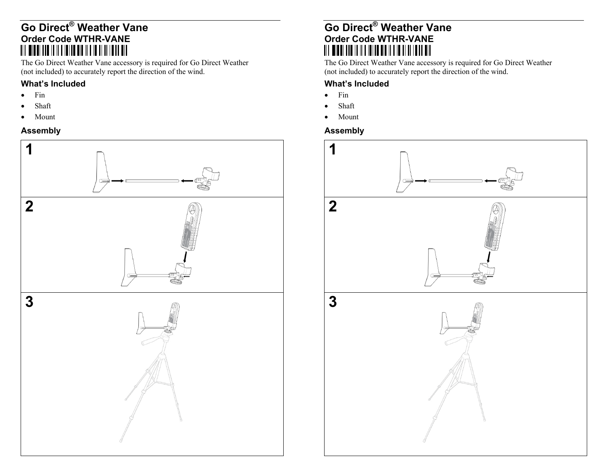## **Go Direct® Weather Vane Order Code WTHR-VANE**

The Go Direct Weather Vane accessory is required for Go Direct Weather (not included) to accurately report the direction of the wind.

### **What's Included**

- 0 Fin
- 0 Shaft
- 0 Mount

# **Assembly**



## **Go Direct® Weather Vane Order Code WTHR-VANE**  <u> All Widdi and in ild idi ad dia ild id al al Idda dia</u>

The Go Direct Weather Vane accessory is required for Go Direct Weather (not included) to accurately report the direction of the wind.

### **What's Included**

- $\bullet$  Fin
- 0 Shaft
- $\bullet$ Mount
- **Assembly**